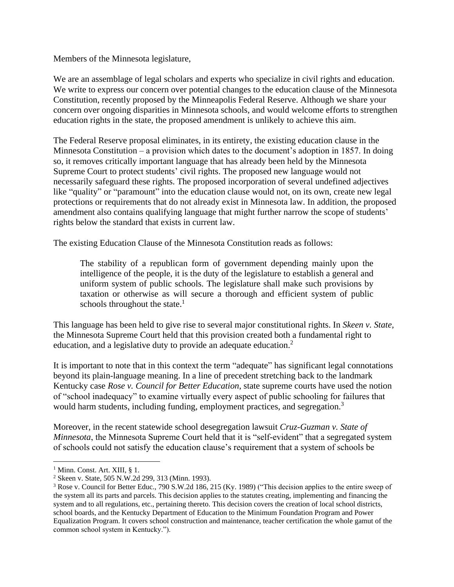Members of the Minnesota legislature,

We are an assemblage of legal scholars and experts who specialize in civil rights and education. We write to express our concern over potential changes to the education clause of the Minnesota Constitution, recently proposed by the Minneapolis Federal Reserve. Although we share your concern over ongoing disparities in Minnesota schools, and would welcome efforts to strengthen education rights in the state, the proposed amendment is unlikely to achieve this aim.

The Federal Reserve proposal eliminates, in its entirety, the existing education clause in the Minnesota Constitution – a provision which dates to the document's adoption in 1857. In doing so, it removes critically important language that has already been held by the Minnesota Supreme Court to protect students' civil rights. The proposed new language would not necessarily safeguard these rights. The proposed incorporation of several undefined adjectives like "quality" or "paramount" into the education clause would not, on its own, create new legal protections or requirements that do not already exist in Minnesota law. In addition, the proposed amendment also contains qualifying language that might further narrow the scope of students' rights below the standard that exists in current law.

The existing Education Clause of the Minnesota Constitution reads as follows:

The stability of a republican form of government depending mainly upon the intelligence of the people, it is the duty of the legislature to establish a general and uniform system of public schools. The legislature shall make such provisions by taxation or otherwise as will secure a thorough and efficient system of public schools throughout the state. $<sup>1</sup>$ </sup>

This language has been held to give rise to several major constitutional rights. In *Skeen v. State,*  the Minnesota Supreme Court held that this provision created both a fundamental right to education, and a legislative duty to provide an adequate education.<sup>2</sup>

It is important to note that in this context the term "adequate" has significant legal connotations beyond its plain-language meaning. In a line of precedent stretching back to the landmark Kentucky case *Rose v. Council for Better Education*, state supreme courts have used the notion of "school inadequacy" to examine virtually every aspect of public schooling for failures that would harm students, including funding, employment practices, and segregation.<sup>3</sup>

Moreover, in the recent statewide school desegregation lawsuit *Cruz-Guzman v. State of Minnesota*, the Minnesota Supreme Court held that it is "self-evident" that a segregated system of schools could not satisfy the education clause's requirement that a system of schools be

 $<sup>1</sup>$  Minn. Const. Art. XIII, § 1.</sup>

<sup>2</sup> Skeen v. State, 505 N.W.2d 299, 313 (Minn. 1993).

<sup>3</sup> Rose v. Council for Better Educ., 790 S.W.2d 186, 215 (Ky. 1989) ("This decision applies to the entire sweep of the system all its parts and parcels. This decision applies to the statutes creating, implementing and financing the system and to all regulations, etc., pertaining thereto. This decision covers the creation of local school districts, school boards, and the Kentucky Department of Education to the Minimum Foundation Program and Power Equalization Program. It covers school construction and maintenance, teacher certification the whole gamut of the common school system in Kentucky.").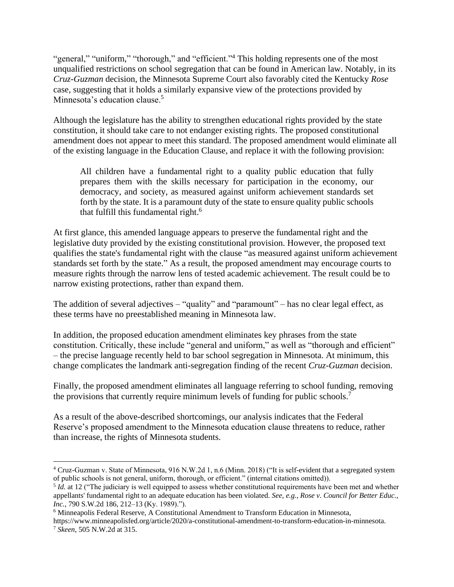"general," "uniform," "thorough," and "efficient."<sup>4</sup> This holding represents one of the most unqualified restrictions on school segregation that can be found in American law. Notably, in its *Cruz-Guzman* decision, the Minnesota Supreme Court also favorably cited the Kentucky *Rose* case, suggesting that it holds a similarly expansive view of the protections provided by Minnesota's education clause.<sup>5</sup>

Although the legislature has the ability to strengthen educational rights provided by the state constitution, it should take care to not endanger existing rights. The proposed constitutional amendment does not appear to meet this standard. The proposed amendment would eliminate all of the existing language in the Education Clause, and replace it with the following provision:

All children have a fundamental right to a quality public education that fully prepares them with the skills necessary for participation in the economy, our democracy, and society, as measured against uniform achievement standards set forth by the state. It is a paramount duty of the state to ensure quality public schools that fulfill this fundamental right.<sup>6</sup>

At first glance, this amended language appears to preserve the fundamental right and the legislative duty provided by the existing constitutional provision. However, the proposed text qualifies the state's fundamental right with the clause "as measured against uniform achievement standards set forth by the state." As a result, the proposed amendment may encourage courts to measure rights through the narrow lens of tested academic achievement. The result could be to narrow existing protections, rather than expand them.

The addition of several adjectives – "quality" and "paramount" – has no clear legal effect, as these terms have no preestablished meaning in Minnesota law.

In addition, the proposed education amendment eliminates key phrases from the state constitution. Critically, these include "general and uniform," as well as "thorough and efficient" – the precise language recently held to bar school segregation in Minnesota. At minimum, this change complicates the landmark anti-segregation finding of the recent *Cruz-Guzman* decision.

Finally, the proposed amendment eliminates all language referring to school funding, removing the provisions that currently require minimum levels of funding for public schools.<sup>7</sup>

As a result of the above-described shortcomings, our analysis indicates that the Federal Reserve's proposed amendment to the Minnesota education clause threatens to reduce, rather than increase, the rights of Minnesota students.

<sup>4</sup> Cruz-Guzman v. State of Minnesota, 916 N.W.2d 1, n.6 (Minn. 2018) ("It is self-evident that a segregated system of public schools is not general, uniform, thorough, or efficient." (internal citations omitted)).

<sup>&</sup>lt;sup>5</sup> *Id.* at 12 ("The judiciary is well equipped to assess whether constitutional requirements have been met and whether appellants' fundamental right to an adequate education has been violated. *See, e.g.*, *Rose v. Council for Better Educ., Inc.*, 790 S.W.2d 186, 212–13 (Ky. 1989).").

<sup>6</sup> Minneapolis Federal Reserve, A Constitutional Amendment to Transform Education in Minnesota,

https://www.minneapolisfed.org/article/2020/a-constitutional-amendment-to-transform-education-in-minnesota. <sup>7</sup> *Skeen*, 505 N.W.2d at 315.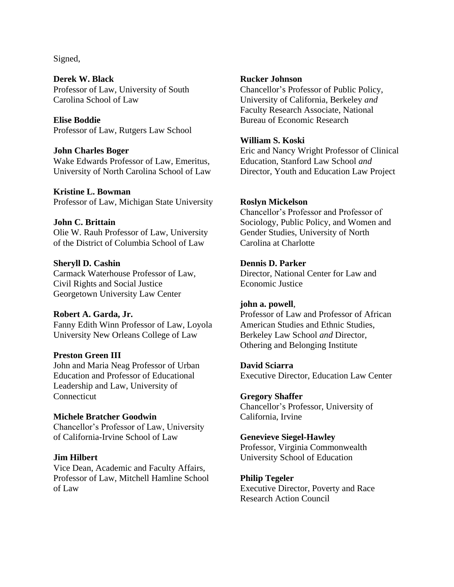Signed,

**Derek W. Black** Professor of Law, University of South Carolina School of Law

**Elise Boddie** Professor of Law, Rutgers Law School

## **John Charles Boger**

Wake Edwards Professor of Law, Emeritus, University of North Carolina School of Law

**Kristine L. Bowman**

Professor of Law, Michigan State University

# **John C. Brittain**

Olie W. Rauh Professor of Law, University of the District of Columbia School of Law

# **Sheryll D. Cashin**

Carmack Waterhouse Professor of Law, Civil Rights and Social Justice Georgetown University Law Center

# **Robert A. Garda, Jr.**

Fanny Edith Winn Professor of Law, Loyola University New Orleans College of Law

## **Preston Green III**

John and Maria Neag Professor of Urban Education and Professor of Educational Leadership and Law, University of **Connecticut** 

## **Michele Bratcher Goodwin**

Chancellor's Professor of Law, University of California-Irvine School of Law

## **Jim Hilbert**

Vice Dean, Academic and Faculty Affairs, Professor of Law, Mitchell Hamline School of Law

# **Rucker Johnson**

Chancellor's Professor of Public Policy, University of California, Berkeley *and*  Faculty Research Associate, National Bureau of Economic Research

# **William S. Koski**

Eric and Nancy Wright Professor of Clinical Education, Stanford Law School *and*  Director, Youth and Education Law Project

# **Roslyn Mickelson**

Chancellor's Professor and Professor of Sociology, Public Policy, and Women and Gender Studies, University of North Carolina at Charlotte

# **Dennis D. Parker**

Director, National Center for Law and Economic Justice

## **john a. powell**,

Professor of Law and Professor of African American Studies and Ethnic Studies, Berkeley Law School *and* Director, Othering and Belonging Institute

## **David Sciarra**

Executive Director, Education Law Center

# **Gregory Shaffer**

Chancellor's Professor, University of California, Irvine

## **Genevieve Siegel-Hawley**

Professor, Virginia Commonwealth University School of Education

# **Philip Tegeler**

Executive Director, Poverty and Race Research Action Council